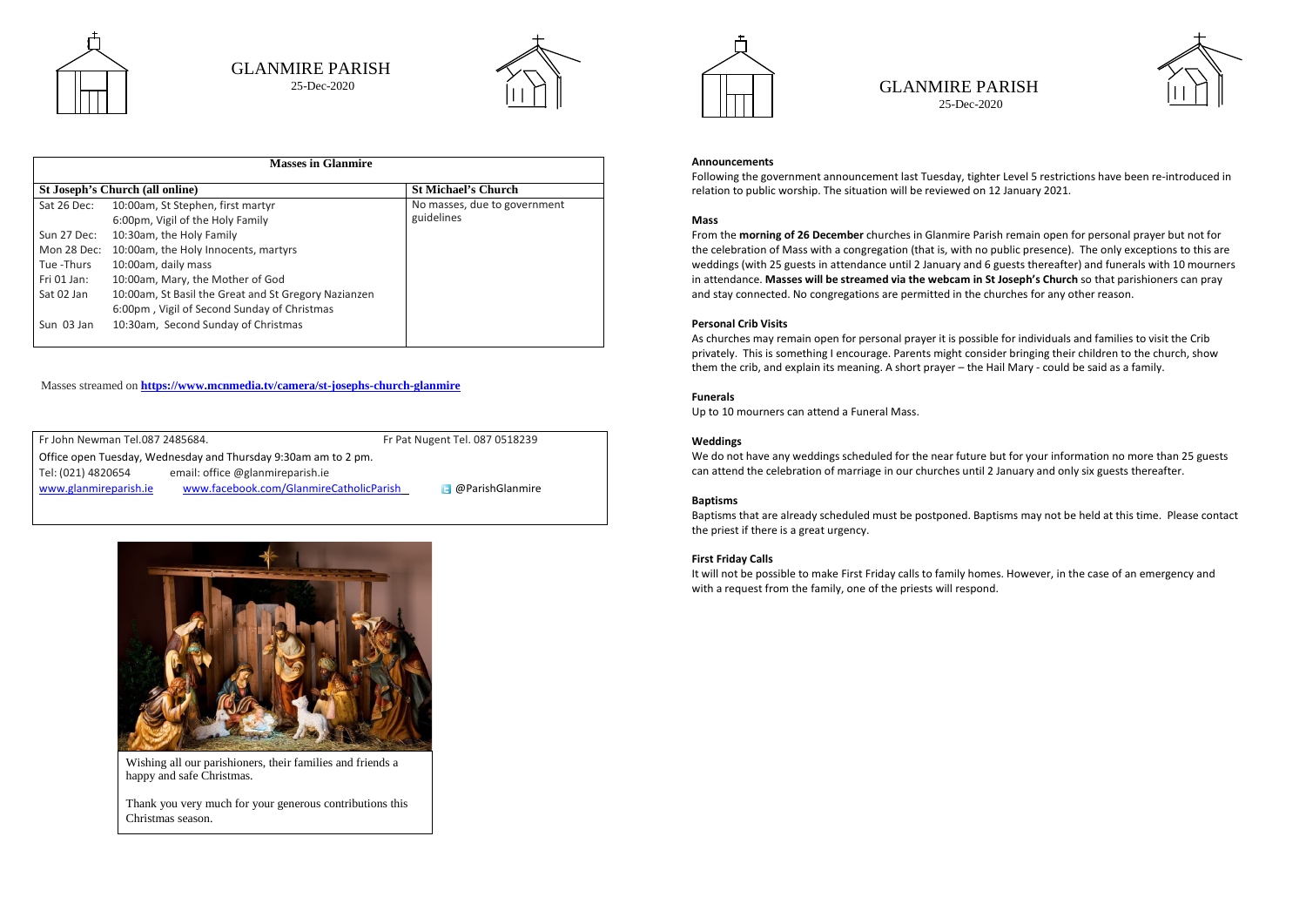

| <b>Masses in Glanmire</b>              |                                                      |                              |  |
|----------------------------------------|------------------------------------------------------|------------------------------|--|
| <b>St Joseph's Church (all online)</b> |                                                      | <b>St Michael's Church</b>   |  |
| Sat 26 Dec:                            | 10:00am, St Stephen, first martyr                    | No masses, due to government |  |
|                                        | 6:00pm, Vigil of the Holy Family                     | guidelines                   |  |
| Sun 27 Dec:                            | 10:30am, the Holy Family                             |                              |  |
| Mon 28 Dec:                            | 10:00am, the Holy Innocents, martyrs                 |                              |  |
| Tue -Thurs                             | 10:00am, daily mass                                  |                              |  |
| Fri $01$ Jan:                          | 10:00am, Mary, the Mother of God                     |                              |  |
| Sat 02 Jan                             | 10:00am, St Basil the Great and St Gregory Nazianzen |                              |  |
|                                        | 6:00pm, Vigil of Second Sunday of Christmas          |                              |  |
| Sun 03 Jan                             | 10:30am, Second Sunday of Christmas                  |                              |  |
|                                        |                                                      |                              |  |

| Fr John Newman Tel.087 2485684. |                                                                |                                         | Fr Pat Nugent Tel. 087 0518239 |  |  |
|---------------------------------|----------------------------------------------------------------|-----------------------------------------|--------------------------------|--|--|
|                                 | Office open Tuesday, Wednesday and Thursday 9:30am am to 2 pm. |                                         |                                |  |  |
|                                 | Tel: (021) 4820654                                             | email: office @glanmireparish.ie        |                                |  |  |
|                                 | www.glanmireparish.ie                                          | www.facebook.com/GlanmireCatholicParish | <b>B</b> @ParishGlanmire       |  |  |
|                                 |                                                                |                                         |                                |  |  |



# GLANMIRE PARISH 25-Dec-2020



Masses streamed on **<https://www.mcnmedia.tv/camera/st-josephs-church-glanmire>**

GLANMIRE PARISH 25-Dec-2020

#### **Announcements**

Following the government announcement last Tuesday, tighter Level 5 restrictions have been re-introduced in relation to public worship. The situation will be reviewed on 12 January 2021.

# **Mass**

From the **morning of 26 December** churches in Glanmire Parish remain open for personal prayer but not for the celebration of Mass with a congregation (that is, with no public presence). The only exceptions to this are weddings (with 25 guests in attendance until 2 January and 6 guests thereafter) and funerals with 10 mourners in attendance. **Masses will be streamed via the webcam in St Joseph's Church** so that parishioners can pray and stay connected. No congregations are permitted in the churches for any other reason.

#### **Personal Crib Visits**

As churches may remain open for personal prayer it is possible for individuals and families to visit the Crib privately. This is something I encourage. Parents might consider bringing their children to the church, show them the crib, and explain its meaning. A short prayer – the Hail Mary - could be said as a family.

#### **Funerals**

Up to 10 mourners can attend a Funeral Mass.

# **Weddings**

We do not have any weddings scheduled for the near future but for your information no more than 25 guests can attend the celebration of marriage in our churches until 2 January and only six guests thereafter.

# **Baptisms**

Baptisms that are already scheduled must be postponed. Baptisms may not be held at this time. Please contact the priest if there is a great urgency.

# **First Friday Calls**

It will not be possible to make First Friday calls to family homes. However, in the case of an emergency and with a request from the family, one of the priests will respond.



Wishing all our parishioners, their families and friends a happy and safe Christmas.

Thank you very much for your generous contributions this Christmas season.

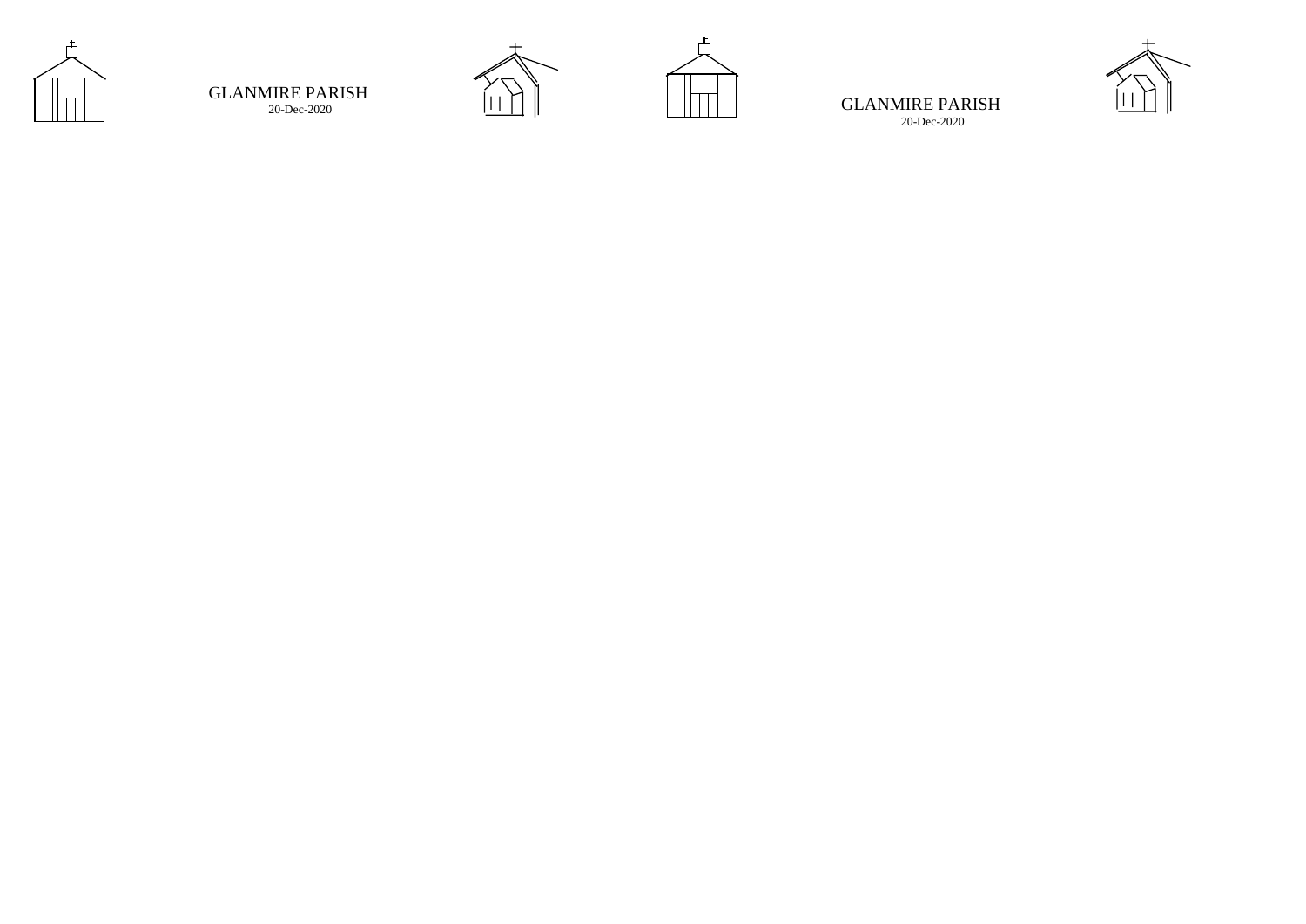

# GLANMIRE PARISH 20 -Dec





-2020 **IIII** | | | | | | | | GLANMIRE PARISH 20 -Dec -2020